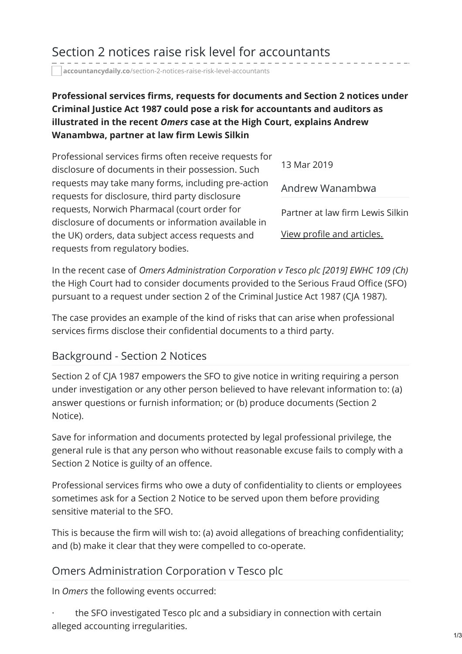# Section 2 notices raise risk level for accountants

**accountancydaily.co**[/section-2-notices-raise-risk-level-accountants](https://www.accountancydaily.co/section-2-notices-raise-risk-level-accountants)

#### **Professional services firms, requests for documents and Section 2 notices under Criminal Justice Act 1987 could pose a risk for accountants and auditors as illustrated in the recent** *Omers* **case at the High Court, explains Andrew Wanambwa, partner at law firm Lewis Silkin**

| Professional services firms often receive requests for |                                  |
|--------------------------------------------------------|----------------------------------|
| disclosure of documents in their possession. Such      | 13 Mar 2019                      |
| requests may take many forms, including pre-action     | Andrew Wanambwa                  |
| requests for disclosure, third party disclosure        |                                  |
| requests, Norwich Pharmacal (court order for           | Partner at law firm Lewis Silkin |
| disclosure of documents or information available in    |                                  |
| the UK) orders, data subject access requests and       | View profile and articles.       |
| requests from regulatory bodies.                       |                                  |

In the recent case of *Omers Administration Corporation v Tesco plc [2019] EWHC 109 (Ch)* the High Court had to consider documents provided to the Serious Fraud Office (SFO) pursuant to a request under section 2 of the Criminal Justice Act 1987 (CJA 1987).

The case provides an example of the kind of risks that can arise when professional services firms disclose their confidential documents to a third party.

#### Background - Section 2 Notices

Section 2 of CJA 1987 empowers the SFO to give notice in writing requiring a person under investigation or any other person believed to have relevant information to: (a) answer questions or furnish information; or (b) produce documents (Section 2 Notice).

Save for information and documents protected by legal professional privilege, the general rule is that any person who without reasonable excuse fails to comply with a Section 2 Notice is guilty of an offence.

Professional services firms who owe a duty of confidentiality to clients or employees sometimes ask for a Section 2 Notice to be served upon them before providing sensitive material to the SFO.

This is because the firm will wish to: (a) avoid allegations of breaching confidentiality; and (b) make it clear that they were compelled to co-operate.

#### Omers Administration Corporation v Tesco plc

In *Omers* the following events occurred:

the SFO investigated Tesco plc and a subsidiary in connection with certain alleged accounting irregularities.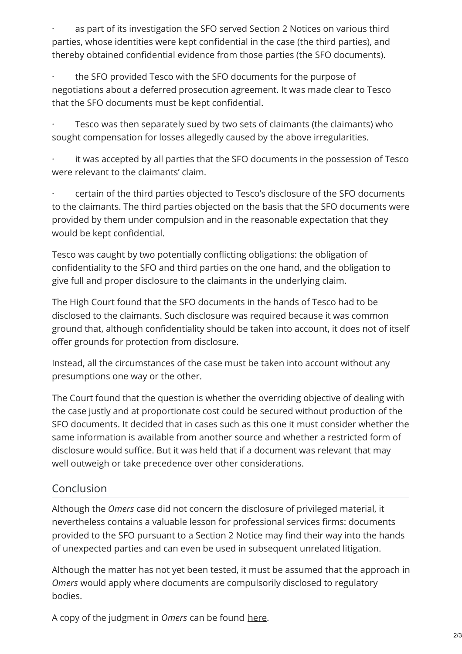as part of its investigation the SFO served Section 2 Notices on various third parties, whose identities were kept confidential in the case (the third parties), and thereby obtained confidential evidence from those parties (the SFO documents).

the SFO provided Tesco with the SFO documents for the purpose of negotiations about a deferred prosecution agreement. It was made clear to Tesco that the SFO documents must be kept confidential.

Tesco was then separately sued by two sets of claimants (the claimants) who sought compensation for losses allegedly caused by the above irregularities.

it was accepted by all parties that the SFO documents in the possession of Tesco were relevant to the claimants' claim.

· certain of the third parties objected to Tesco's disclosure of the SFO documents to the claimants. The third parties objected on the basis that the SFO documents were provided by them under compulsion and in the reasonable expectation that they would be kept confidential.

Tesco was caught by two potentially conflicting obligations: the obligation of confidentiality to the SFO and third parties on the one hand, and the obligation to give full and proper disclosure to the claimants in the underlying claim.

The High Court found that the SFO documents in the hands of Tesco had to be disclosed to the claimants. Such disclosure was required because it was common ground that, although confidentiality should be taken into account, it does not of itself offer grounds for protection from disclosure.

Instead, all the circumstances of the case must be taken into account without any presumptions one way or the other.

The Court found that the question is whether the overriding objective of dealing with the case justly and at proportionate cost could be secured without production of the SFO documents. It decided that in cases such as this one it must consider whether the same information is available from another source and whether a restricted form of disclosure would suffice. But it was held that if a document was relevant that may well outweigh or take precedence over other considerations.

### Conclusion

Although the *Omers* case did not concern the disclosure of privileged material, it nevertheless contains a valuable lesson for professional services firms: documents provided to the SFO pursuant to a Section 2 Notice may find their way into the hands of unexpected parties and can even be used in subsequent unrelated litigation.

Although the matter has not yet been tested, it must be assumed that the approach in *Omers* would apply where documents are compulsorily disclosed to regulatory bodies.

A copy of the judgment in *Omers* can be found [here](http://www.bailii.org/ew/cases/EWHC/Ch/2019/109.html).